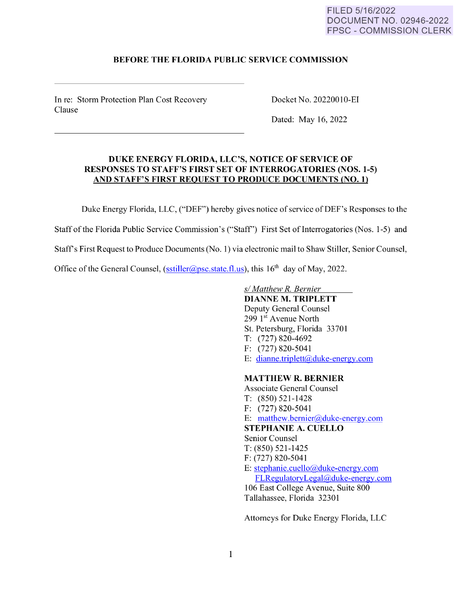## FILED 5/16/2022 DOCUMENT NO. 02946-2022 FPSC - COMMISSION CLERK

## **BEFORE THE FLORIDA PUBLIC SERVICE COMMISSION**

In re: Storm Protection Plan Cost Recovery Clause

Docket No. 20220010-EI

Dated: May 16, 2022

## **DUKE ENERGY FLORIDA, LLC'S, NOTICE OF SERVICE OF RESPONSES TO STAFF'S FIRST SET OF INTERROGATORIES (NOS.1-5) AND STAFF'S FIRST REQUEST TO PRODUCE DOCUMENTS (NO. 1)**

Duke Energy Florida, LLC, ("DEF") hereby gives notice of service of DEF's Responses to the

Staff of the Florida Public Service Commission's ("Staff") First Set of Interrogatories (Nos. 1-5) and

Staff's First Request to Produce Documents (No. 1) via electronic mail to Shaw Stiller, Senior Counsel,

Office of the General Counsel, [\(sstiller@psc.state.fl.us\)](mailto:sstiller@psc.state.fl.us), this  $16<sup>th</sup>$  day of May, 2022.

*sl Matthew R. Bernier* 

**DIANNE M. TRIPLETT**  Deputy General Counsel 299  $1<sup>st</sup>$  Avenue North St. Petersburg, Florida 33701 T: (727) 820-4692 F: (727) 820-5041 E: [dianne.triplett@duke-energy.com](mailto:dianne.triplett@duke-energy.com) 

# **MATTHEW R. BERNIER**

Associate General Counsel T: (850) 521-1428 F: (727) 820-5041 E: [matthew.bernier@duke-energy.com](mailto:matthew.bernier@duke-energy.com)  **STEPHANIE A. CUELLO**  Senior Counsel T: (850) 521-1425 F: (727) 820-5041 E: [stephanie.cuello@duke-energy.com](mailto:stephanie.cuello@duke-energy.com)  [FLRegulatoryLegal@duke-energy.com](mailto:FLRegulatoryLegal@duke-energy.com)  106 East College A venue, Suite 800 Tallahassee, Florida 32301

Attorneys for Duke Energy Florida, LLC